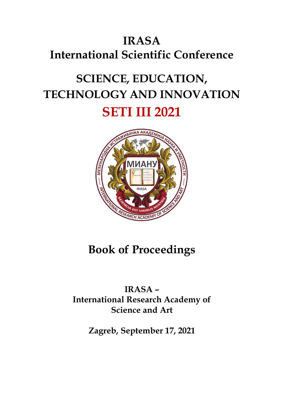## **IRASA International Scientific Conference**

# **SCIENCE, EDUCATION, TECHNOLOGY AND INNOVATION SETI III 2021**



## **Book of Proceedings**

## **IRASA – International Research Academy of Science and Art**

**Zagreb, September 17, 2021**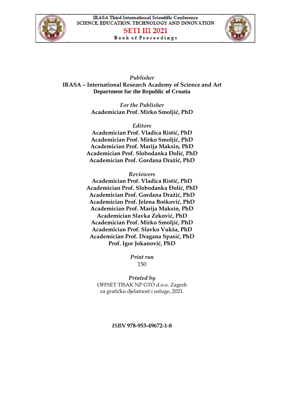



*Publisher* **IRASA – International Research Academy of Science and Art Department for the Republic of Croatia**

> *For the Publisher* **Academician Prof. Mirko Smoljić, PhD**

*Editors* **Academician Prof. Vladica Ristić, PhD Academician Prof. Mirko Smoljić, PhD Academician Prof. Marija Maksin, PhD Academician Prof. Slobodanka Đolić, PhD Academician Prof. Gordana Dražić, PhD**

*Reviewers*

**Academician Prof. Vladica Ristić, PhD Academician Prof. Slobodanka Đolić, PhD Academician Prof. Gordana Dražić, PhD Academician Prof. Jelena Bošković, PhD Academician Prof. Marija Maksin, PhD Academician Slavka Zeković, PhD Academician Prof. Mirko Smoljić, PhD Academician Prof. Slavko Vukša, PhD Academician Prof. Dragana Spasić, PhD Prof. Igor Jokanović, PhD**

> *Print run* 150

*Printed by* OFFSET TISAK NP GTO d.o.o. Zagreb za grafičku djelatnost i usluge, 2021.

*ISBN* **978-953-49672-1-8**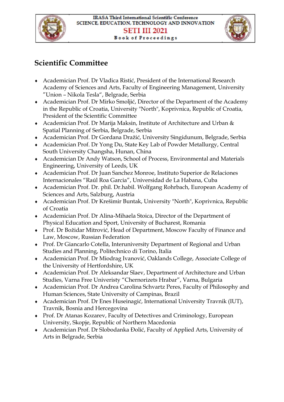



## **Scientific Committee**

- Academician Prof. Dr Vladica Ristić, President of the International Research Academy of Sciences and Arts, Faculty of Engineering Management, University "Union – Nikola Tesla", Belgrade, Serbia
- Academician Prof. Dr Mirko Smoljić, Director of the Department of the Academy in the Republic of Croatia, University "North", Koprivnica, Republic of Croatia, President of the Scientific Committee
- Academician Prof. Dr Marija Maksin, Institute of Architecture and Urban & Spatial Planning of Serbia, Belgrade, Serbia
- Academician Prof. Dr Gordana Dražić, University Singidunum, Belgrade, Serbia
- Academician Prof. Dr Yong Du, State Key Lab of Powder Metallurgy, Central South University Changsha, Hunan, China
- Academician Dr Andy Watson, School of Process, Environmental and Materials Engineering, University of Leeds, UK
- Academician Prof. Dr Juan Sanchez Monroe, Instituto Superior de Relaciones Internacionales "Raúl Roa Garcia", Universidad de La Habana, Cuba
- Academician Prof. Dr. phil. Dr.habil. Wolfgang Rohrbach, European Academy of Sciences and Arts, Salzburg, Austria
- Academician Prof. Dr Krešimir Buntak, University "North", Koprivnica, Republic of Croatia
- Academician Prof. Dr Alina-Mihaela Stoica, Director of the Department of Physical Education and Sport, University of Bucharest, Romania
- Prof. Dr Božidar Mitrović, Head of Department, Moscow Faculty of Finance and Law, Moscow, Russian Federation
- Prof. Dr Giancarlo Cotella, Interuniversity Department of Regional and Urban Studies and Planning, Politechnico di Torino, Italia
- Academician Prof. Dr Miodrag Ivanović, Oaklands College, Associate College of the University of Hertfordshire, UK
- Academician Prof. Dr Aleksandar Slaev, Department of Architecture and Urban Studies, Varna Free Univeristy "Chernorizets Hrabar", Varna, Bulgaria
- Academician Prof. Dr Andrea Carolina Schvartz Peres, Faculty of Philosophy and Human Sciences, State University of Campinas, Brazil
- Academician Prof. Dr Enes Huseinagić, International University Travnik (IUT), Travnik, Bosnia and Hercegovina
- Prof. Dr Atanas Kozarev, Faculty of Detectives and Criminology, European University, Skopje, Republic of Northern Macedonia
- Academician Prof. Dr Slobodanka Đolić, Faculty of Applied Arts, University of Arts in Belgrade, Serbia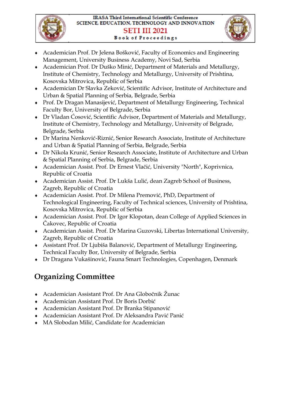



- Academician Prof. Dr Jelena Bošković, Faculty of Economics and Engineering Management, University Business Academy, Novi Sad, Serbia
- Academician Prof. Dr Duško Minić, Department of Materials and Metallurgy, Institute of Chemistry, Technology and Metallurgy, University of Prishtina, Kosovska Mitrovica, Republic of Serbia
- Academician Dr Slavka Zeković, Scientific Advisor, Institute of Architecture and Urban & Spatial Planning of Serbia, Belgrade, Serbia
- Prof. Dr Dragan Manasijević, Department of Metallurgy Engineering, Technical Faculty Bor, University of Belgrade, Serbia
- Dr Vladan Ćosović, Scientific Advisor, Department of Materials and Metallurgy, Institute of Chemistry, Technology and Metallurgy, University of Belgrade, Belgrade, Serbia
- Dr Marina Nenković-Riznić, Senior Research Associate, Institute of Architecture and Urban & Spatial Planning of Serbia, Belgrade, Serbia
- Dr Nikola Krunić, Senior Research Associate, Institute of Architecture and Urban & Spatial Planning of Serbia, Belgrade, Serbia
- Academician Assist. Prof. Dr Ernest Vlačić, University "North", Koprivnica, Republic of Croatia
- Academician Assist. Prof. Dr Lukša Lulić, dean Zagreb School of Business, Zagreb, Republic of Croatia
- Academician Assist. Prof. Dr Milena Premović, PhD, Department of Technological Engineering, Faculty of Technical sciences, University of Prishtina, Kosovska Mitrovica, Republic of Serbia
- Academician Assist. Prof. Dr Igor Klopotan, dean College of Applied Sciences in Čakovec, Republic of Croatia
- Academician Assist. Prof. Dr Marina Guzovski, Libertas International University, Zagreb, Republic of Croatia
- Assistant Prof. Dr Ljubiša Balanović, Department of Metallurgy Engineering, Technical Faculty Bor, University of Belgrade, Serbia
- Dr Dragana Vukašinović, Fauna Smart Technologies, Copenhagen, Denmark

## **Organizing Committee**

- Academician Assistant Prof. Dr Ana Globočnik Žunac
- Academician Assistant Prof. Dr Boris Dorbić
- Academician Assistant Prof. Dr Branka Stipanović
- Academician Assistant Prof. Dr Aleksandra Pavić Panić
- MA Slobodan Milić, Candidate for Academician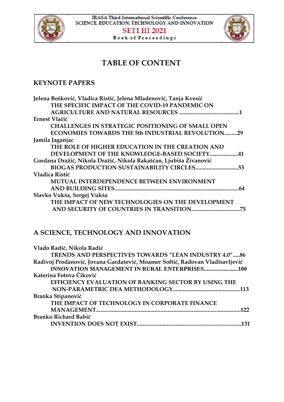



### **TABLE OF CONTENT**

#### **KEYNOTE PAPERS**

| Jelena Bošković, Vladica Ristić, Jelena Mladenović, Tanja Kvesić  |     |
|-------------------------------------------------------------------|-----|
| THE SPECIFIC IMPACT OF THE COVID-19 PANDEMIC ON                   |     |
|                                                                   |     |
| Ernest Vlačić                                                     |     |
| <b>CHALLENGES IN STRATEGIC POSITIONING OF SMALL OPEN</b>          |     |
| ECONOMIES TOWARDS THE 5th INDUSTRIAL REVOLUTION<br>$\ldots$ 29    |     |
| Jamila Jaganjac                                                   |     |
| THE ROLE OF HIGHER EDUCATION IN THE CREATION AND                  |     |
| DEVELOPMENT OF THE KNOWLEDGE-BASED SOCIETY<br>. 41                |     |
| Gordana Dražić, Nikola Dražić, Nikola Rakašćan, Ljubiša Živanović |     |
| <b>BIOGAS PRODUCTION SUSTAINABILITY CIRCLES53</b>                 |     |
| Vladica Ristić                                                    |     |
| MUTUAL INTERDEPENDENCE BETWEEN ENVIRONMENT                        |     |
|                                                                   |     |
| Slavko Vukša, Sergej Vukša                                        |     |
| THE IMPACT OF NEW TECHNOLOGIES ON THE DEVELOPMENT                 |     |
| AND SECURITY OF COUNTRIES IN TRANSITION                           | .75 |

#### **A SCIENCE, TECHNOLOGY AND INNOVATION**

| Vlado Radić, Nikola Radić                                                    |  |
|------------------------------------------------------------------------------|--|
| <b>TRENDS AND PERSPECTIVES TOWARDS "LEAN INDUSTRY 4.0"86</b>                 |  |
| Radivoj Prodanović, Jovana Gardašević, Moamer Softić, Radovan Vladisavljević |  |
|                                                                              |  |
| Katerina Fotova Čiković                                                      |  |
| EFFICIENCY EVALUATION OF BANKING SECTOR BY USING THE                         |  |
|                                                                              |  |
| Branka Stipanović                                                            |  |
| THE IMPACT OF TECHNOLOGY IN CORPORATE FINANCE                                |  |
| 177                                                                          |  |
| Branko Richard Babić                                                         |  |
| 131                                                                          |  |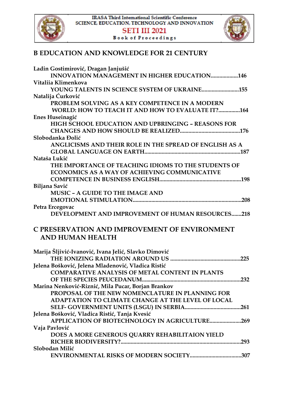



#### **B EDUCATION AND KNOWLEDGE FOR 21 CENTURY**

| Ladin Gostimirović, Dragan Janjušić                       |
|-----------------------------------------------------------|
| <b>INNOVATION MANAGEMENT IN HIGHER EDUCATION146</b>       |
| Vitaliia Klimenkova                                       |
| <b>YOUNG TALENTS IN SCIENCE SYSTEM OF UKRAINE155</b>      |
| Natalija Ćurković                                         |
| PROBLEM SOLVING AS A KEY COMPETENCE IN A MODERN           |
| WORLD: HOW TO TEACH IT AND HOW TO EVALUATE IT?164         |
| Enes Huseinagić                                           |
| <b>HIGH SCHOOL EDUCATION AND UPBRINGING - REASONS FOR</b> |
|                                                           |
| Slobodanka Đolić                                          |
| ANGLICISMS AND THEIR ROLE IN THE SPREAD OF ENGLISH AS A   |
|                                                           |
| Nataša Lukić                                              |
| THE IMPORTANCE OF TEACHING IDIOMS TO THE STUDENTS OF      |
| ECONOMICS AS A WAY OF ACHIEVING COMMUNICATIVE             |
|                                                           |
| Biljana Savić                                             |
| MUSIC - A GUIDE TO THE IMAGE AND                          |
|                                                           |
| Petra Ercegovac                                           |
| DEVELOPMENT AND IMPROVEMENT OF HUMAN RESOURCES218         |
| C PRESERVATION AND IMPROVEMENT OF ENVIRONMENT             |
| AND HUMAN HEALTH                                          |
|                                                           |
| Marija Šljivić-Ivanović, Ivana Jelić, Slavko Dimović      |
|                                                           |
| Jelena Bošković, Jelena Mladenović, Vladica Ristić        |
| <b>COMPARATIVE ANALYSIS OF METAL CONTENT IN PLANTS</b>    |
|                                                           |
| Marina Nenković-Riznić, Mila Pucar, Borjan Brankov        |
| PROPOSAL OF THE NEW NOMENCLATURE IN PLANNING FOR          |
| ADAPTATION TO CLIMATE CHANGE AT THE LEVEL OF LOCAL        |
|                                                           |
| Jelena Bošković, Vladica Ristić, Tanja Kvesić             |
| APPLICATION OF BIOTECHNOLOGY IN AGRICULTURE269            |
| Vaja Pavlović                                             |
| DOES A MORE GENEROUS QUARRY REHABILITAION YIELD           |
|                                                           |
| Slobodan Milić                                            |
|                                                           |
|                                                           |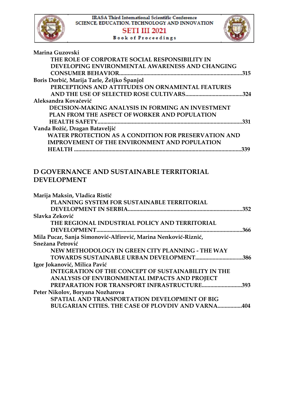

| Marina Guzovski                                             |      |
|-------------------------------------------------------------|------|
| THE ROLE OF CORPORATE SOCIAL RESPONSIBILITY IN              |      |
| DEVELOPING ENVIRONMENTAL AWARENESS AND CHANGING             |      |
|                                                             | .315 |
| Boris Dorbić, Marija Tarle, Željko Španjol                  |      |
| PERCEPTIONS AND ATTITUDES ON ORNAMENTAL FEATURES            |      |
|                                                             | .324 |
| Aleksandra Kovačević                                        |      |
| <b>DECISION-MAKING ANALYSIS IN FORMING AN INVESTMENT</b>    |      |
| PLAN FROM THE ASPECT OF WORKER AND POPULATION               |      |
|                                                             | .331 |
| Vanda Božić, Dragan Bataveljić                              |      |
| <b>WATER PROTECTION AS A CONDITION FOR PRESERVATION AND</b> |      |
| <b>IMPROVEMENT OF THE ENVIRONMENT AND POPULATION</b>        |      |
| <b>HEALTH</b>                                               | 339  |
|                                                             |      |

#### **D GOVERNANCE AND SUSTAINABLE TERRITORIAL DEVELOPMENT**

| Marija Maksin, Vladica Ristić                                  |      |
|----------------------------------------------------------------|------|
| PLANNING SYSTEM FOR SUSTAINABLE TERRITORIAL                    |      |
|                                                                | .352 |
| Slavka Zeković                                                 |      |
| THE REGIONAL INDUSTRIAL POLICY AND TERRITORIAL                 |      |
| DEVELOPMENT.                                                   | .366 |
| Mila Pucar, Sanja Simonović-Alfirević, Marina Nenković-Riznić, |      |
| Snežana Petrović                                               |      |
| NEW METHODOLOGY IN GREEN CITY PLANNING - THE WAY               |      |
| TOWARDS SUSTAINABLE URBAN DEVELOPMENT                          | .386 |
| Igor Jokanović, Milica Pavić                                   |      |
| <b>INTEGRATION OF THE CONCEPT OF SUSTAINABILITY IN THE</b>     |      |
| ANALYSIS OF ENVIRONMENTAL IMPACTS AND PROJECT                  |      |
| PREPARATION FOR TRANSPORT INFRASTRUCTURE393                    |      |
| Peter Nikolov, Boryana Nozharova                               |      |
| SPATIAL AND TRANSPORTATION DEVELOPMENT OF BIG                  |      |
| <b>BULGARIAN CITIES. THE CASE OF PLOVDIV AND VARNA</b>         | .404 |